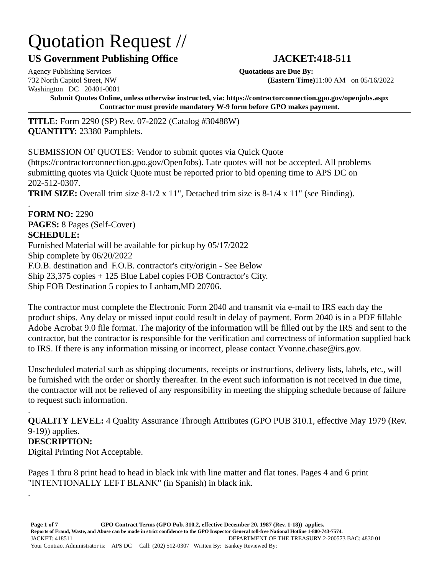# Quotation Request //

## **US Government Publishing Office JACKET:418-511**

Agency Publishing Services **Quotations are Due By:** Washington DC 20401-0001

.

732 North Capitol Street, NW **(Eastern Time)**11:00 AM on 05/16/2022

**Submit Quotes Online, unless otherwise instructed, via: https://contractorconnection.gpo.gov/openjobs.aspx Contractor must provide mandatory W-9 form before GPO makes payment.**

**TITLE:** Form 2290 (SP) Rev. 07-2022 (Catalog #30488W) **QUANTITY:** 23380 Pamphlets.

SUBMISSION OF QUOTES: Vendor to submit quotes via Quick Quote (https://contractorconnection.gpo.gov/OpenJobs). Late quotes will not be accepted. All problems submitting quotes via Quick Quote must be reported prior to bid opening time to APS DC on 202-512-0307. **TRIM SIZE:** Overall trim size 8-1/2 x 11", Detached trim size is 8-1/4 x 11" (see Binding).

. **FORM NO:** 2290 **PAGES:** 8 Pages (Self-Cover) **SCHEDULE:** Furnished Material will be available for pickup by 05/17/2022 Ship complete by 06/20/2022 F.O.B. destination and F.O.B. contractor's city/origin - See Below Ship 23,375 copies + 125 Blue Label copies FOB Contractor's City. Ship FOB Destination 5 copies to Lanham,MD 20706.

The contractor must complete the Electronic Form 2040 and transmit via e-mail to IRS each day the product ships. Any delay or missed input could result in delay of payment. Form 2040 is in a PDF fillable Adobe Acrobat 9.0 file format. The majority of the information will be filled out by the IRS and sent to the contractor, but the contractor is responsible for the verification and correctness of information supplied back to IRS. If there is any information missing or incorrect, please contact Yvonne.chase@irs.gov.

Unscheduled material such as shipping documents, receipts or instructions, delivery lists, labels, etc., will be furnished with the order or shortly thereafter. In the event such information is not received in due time, the contractor will not be relieved of any responsibility in meeting the shipping schedule because of failure to request such information.

. **QUALITY LEVEL:** 4 Quality Assurance Through Attributes (GPO PUB 310.1, effective May 1979 (Rev. 9-19)) applies. **DESCRIPTION:** Digital Printing Not Acceptable.

Pages 1 thru 8 print head to head in black ink with line matter and flat tones. Pages 4 and 6 print "INTENTIONALLY LEFT BLANK" (in Spanish) in black ink.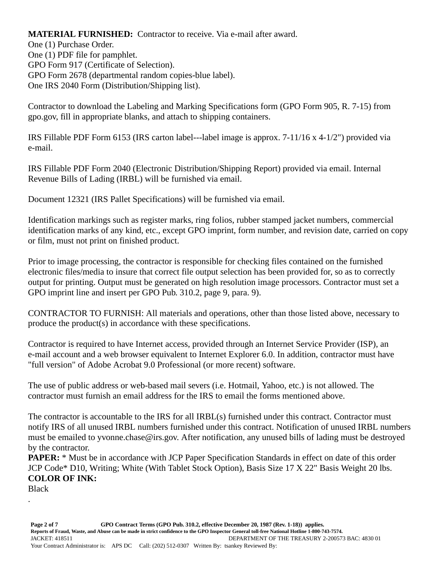**MATERIAL FURNISHED:** Contractor to receive. Via e-mail after award. One (1) Purchase Order. One (1) PDF file for pamphlet. GPO Form 917 (Certificate of Selection). GPO Form 2678 (departmental random copies-blue label). One IRS 2040 Form (Distribution/Shipping list).

Contractor to download the Labeling and Marking Specifications form (GPO Form 905, R. 7-15) from gpo.gov, fill in appropriate blanks, and attach to shipping containers.

IRS Fillable PDF Form 6153 (IRS carton label---label image is approx. 7-11/16 x 4-1/2") provided via e-mail.

IRS Fillable PDF Form 2040 (Electronic Distribution/Shipping Report) provided via email. Internal Revenue Bills of Lading (IRBL) will be furnished via email.

Document 12321 (IRS Pallet Specifications) will be furnished via email.

Identification markings such as register marks, ring folios, rubber stamped jacket numbers, commercial identification marks of any kind, etc., except GPO imprint, form number, and revision date, carried on copy or film, must not print on finished product.

Prior to image processing, the contractor is responsible for checking files contained on the furnished electronic files/media to insure that correct file output selection has been provided for, so as to correctly output for printing. Output must be generated on high resolution image processors. Contractor must set a GPO imprint line and insert per GPO Pub. 310.2, page 9, para. 9).

CONTRACTOR TO FURNISH: All materials and operations, other than those listed above, necessary to produce the product(s) in accordance with these specifications.

Contractor is required to have Internet access, provided through an Internet Service Provider (ISP), an e-mail account and a web browser equivalent to Internet Explorer 6.0. In addition, contractor must have "full version" of Adobe Acrobat 9.0 Professional (or more recent) software.

The use of public address or web-based mail severs (i.e. Hotmail, Yahoo, etc.) is not allowed. The contractor must furnish an email address for the IRS to email the forms mentioned above.

The contractor is accountable to the IRS for all IRBL(s) furnished under this contract. Contractor must notify IRS of all unused IRBL numbers furnished under this contract. Notification of unused IRBL numbers must be emailed to yvonne.chase@irs.gov. After notification, any unused bills of lading must be destroyed by the contractor.

**PAPER:** \* Must be in accordance with JCP Paper Specification Standards in effect on date of this order JCP Code\* D10, Writing; White (With Tablet Stock Option), Basis Size 17 X 22" Basis Weight 20 lbs. **COLOR OF INK:**

Black

.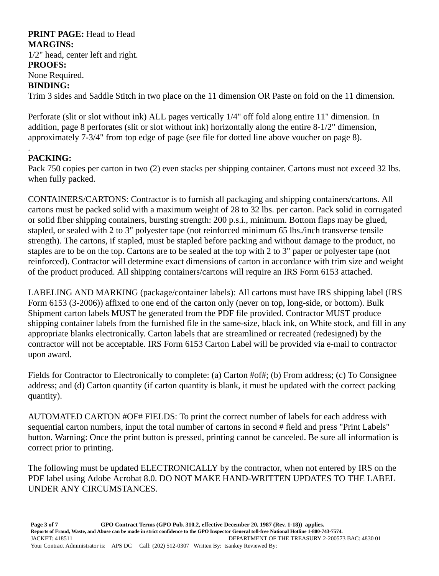#### **PRINT PAGE:** Head to Head **MARGINS:**

1/2" head, center left and right. **PROOFS:** None Required.

#### **BINDING:**

Trim 3 sides and Saddle Stitch in two place on the 11 dimension OR Paste on fold on the 11 dimension.

Perforate (slit or slot without ink) ALL pages vertically 1/4" off fold along entire 11" dimension. In addition, page 8 perforates (slit or slot without ink) horizontally along the entire 8-1/2" dimension, approximately 7-3/4" from top edge of page (see file for dotted line above voucher on page 8).

#### . **PACKING:**

Pack 750 copies per carton in two (2) even stacks per shipping container. Cartons must not exceed 32 lbs. when fully packed.

CONTAINERS/CARTONS: Contractor is to furnish all packaging and shipping containers/cartons. All cartons must be packed solid with a maximum weight of 28 to 32 lbs. per carton. Pack solid in corrugated or solid fiber shipping containers, bursting strength: 200 p.s.i., minimum. Bottom flaps may be glued, stapled, or sealed with 2 to 3" polyester tape (not reinforced minimum 65 lbs./inch transverse tensile strength). The cartons, if stapled, must be stapled before packing and without damage to the product, no staples are to be on the top. Cartons are to be sealed at the top with 2 to 3" paper or polyester tape (not reinforced). Contractor will determine exact dimensions of carton in accordance with trim size and weight of the product produced. All shipping containers/cartons will require an IRS Form 6153 attached.

LABELING AND MARKING (package/container labels): All cartons must have IRS shipping label (IRS Form 6153 (3-2006)) affixed to one end of the carton only (never on top, long-side, or bottom). Bulk Shipment carton labels MUST be generated from the PDF file provided. Contractor MUST produce shipping container labels from the furnished file in the same-size, black ink, on White stock, and fill in any appropriate blanks electronically. Carton labels that are streamlined or recreated (redesigned) by the contractor will not be acceptable. IRS Form 6153 Carton Label will be provided via e-mail to contractor upon award.

Fields for Contractor to Electronically to complete: (a) Carton #of#; (b) From address; (c) To Consignee address; and (d) Carton quantity (if carton quantity is blank, it must be updated with the correct packing quantity).

AUTOMATED CARTON #OF# FIELDS: To print the correct number of labels for each address with sequential carton numbers, input the total number of cartons in second # field and press "Print Labels" button. Warning: Once the print button is pressed, printing cannot be canceled. Be sure all information is correct prior to printing.

The following must be updated ELECTRONICALLY by the contractor, when not entered by IRS on the PDF label using Adobe Acrobat 8.0. DO NOT MAKE HAND-WRITTEN UPDATES TO THE LABEL UNDER ANY CIRCUMSTANCES.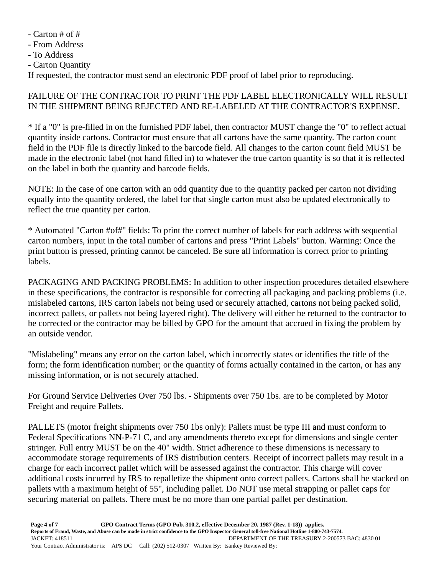- Carton # of #

- From Address

- To Address

- Carton Quantity

If requested, the contractor must send an electronic PDF proof of label prior to reproducing.

#### FAILURE OF THE CONTRACTOR TO PRINT THE PDF LABEL ELECTRONICALLY WILL RESULT IN THE SHIPMENT BEING REJECTED AND RE-LABELED AT THE CONTRACTOR'S EXPENSE.

\* If a "0" is pre-filled in on the furnished PDF label, then contractor MUST change the "0" to reflect actual quantity inside cartons. Contractor must ensure that all cartons have the same quantity. The carton count field in the PDF file is directly linked to the barcode field. All changes to the carton count field MUST be made in the electronic label (not hand filled in) to whatever the true carton quantity is so that it is reflected on the label in both the quantity and barcode fields.

NOTE: In the case of one carton with an odd quantity due to the quantity packed per carton not dividing equally into the quantity ordered, the label for that single carton must also be updated electronically to reflect the true quantity per carton.

\* Automated "Carton #of#" fields: To print the correct number of labels for each address with sequential carton numbers, input in the total number of cartons and press "Print Labels" button. Warning: Once the print button is pressed, printing cannot be canceled. Be sure all information is correct prior to printing labels.

PACKAGING AND PACKING PROBLEMS: In addition to other inspection procedures detailed elsewhere in these specifications, the contractor is responsible for correcting all packaging and packing problems (i.e. mislabeled cartons, IRS carton labels not being used or securely attached, cartons not being packed solid, incorrect pallets, or pallets not being layered right). The delivery will either be returned to the contractor to be corrected or the contractor may be billed by GPO for the amount that accrued in fixing the problem by an outside vendor.

"Mislabeling" means any error on the carton label, which incorrectly states or identifies the title of the form; the form identification number; or the quantity of forms actually contained in the carton, or has any missing information, or is not securely attached.

For Ground Service Deliveries Over 750 lbs. - Shipments over 750 1bs. are to be completed by Motor Freight and require Pallets.

PALLETS (motor freight shipments over 750 1bs only): Pallets must be type III and must conform to Federal Specifications NN-P-71 C, and any amendments thereto except for dimensions and single center stringer. Full entry MUST be on the 40" width. Strict adherence to these dimensions is necessary to accommodate storage requirements of IRS distribution centers. Receipt of incorrect pallets may result in a charge for each incorrect pallet which will be assessed against the contractor. This charge will cover additional costs incurred by IRS to repalletize the shipment onto correct pallets. Cartons shall be stacked on pallets with a maximum height of 55", including pallet. Do NOT use metal strapping or pallet caps for securing material on pallets. There must be no more than one partial pallet per destination.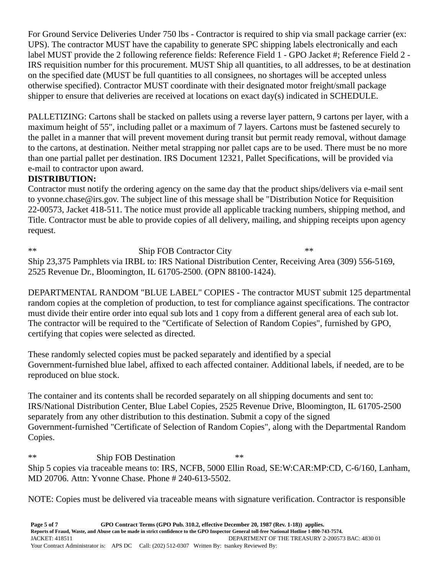For Ground Service Deliveries Under 750 lbs - Contractor is required to ship via small package carrier (ex: UPS). The contractor MUST have the capability to generate SPC shipping labels electronically and each label MUST provide the 2 following reference fields: Reference Field 1 - GPO Jacket #; Reference Field 2 - IRS requisition number for this procurement. MUST Ship all quantities, to all addresses, to be at destination on the specified date (MUST be full quantities to all consignees, no shortages will be accepted unless otherwise specified). Contractor MUST coordinate with their designated motor freight/small package shipper to ensure that deliveries are received at locations on exact day(s) indicated in SCHEDULE.

PALLETIZING: Cartons shall be stacked on pallets using a reverse layer pattern, 9 cartons per layer, with a maximum height of 55", including pallet or a maximum of 7 layers. Cartons must be fastened securely to the pallet in a manner that will prevent movement during transit but permit ready removal, without damage to the cartons, at destination. Neither metal strapping nor pallet caps are to be used. There must be no more than one partial pallet per destination. IRS Document 12321, Pallet Specifications, will be provided via e-mail to contractor upon award.

### **DISTRIBUTION:**

Contractor must notify the ordering agency on the same day that the product ships/delivers via e-mail sent to yvonne.chase@irs.gov. The subject line of this message shall be "Distribution Notice for Requisition 22-00573, Jacket 418-511. The notice must provide all applicable tracking numbers, shipping method, and Title. Contractor must be able to provide copies of all delivery, mailing, and shipping receipts upon agency request.

\*\* Ship FOB Contractor City \*\* Ship 23,375 Pamphlets via IRBL to: IRS National Distribution Center, Receiving Area (309) 556-5169, 2525 Revenue Dr., Bloomington, IL 61705-2500. (OPN 88100-1424).

DEPARTMENTAL RANDOM "BLUE LABEL" COPIES - The contractor MUST submit 125 departmental random copies at the completion of production, to test for compliance against specifications. The contractor must divide their entire order into equal sub lots and 1 copy from a different general area of each sub lot. The contractor will be required to the "Certificate of Selection of Random Copies", furnished by GPO, certifying that copies were selected as directed.

These randomly selected copies must be packed separately and identified by a special Government-furnished blue label, affixed to each affected container. Additional labels, if needed, are to be reproduced on blue stock.

The container and its contents shall be recorded separately on all shipping documents and sent to: IRS/National Distribution Center, Blue Label Copies, 2525 Revenue Drive, Bloomington, IL 61705-2500 separately from any other distribution to this destination. Submit a copy of the signed Government-furnished "Certificate of Selection of Random Copies", along with the Departmental Random Copies.

\*\* Ship FOB Destination \*\* Ship 5 copies via traceable means to: IRS, NCFB, 5000 Ellin Road, SE:W:CAR:MP:CD, C-6/160, Lanham, MD 20706. Attn: Yvonne Chase. Phone # 240-613-5502.

NOTE: Copies must be delivered via traceable means with signature verification. Contractor is responsible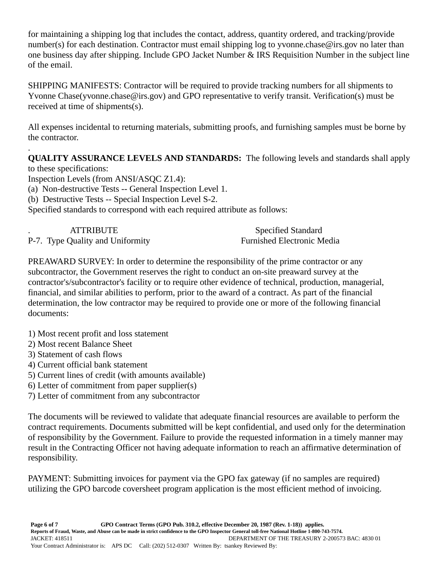for maintaining a shipping log that includes the contact, address, quantity ordered, and tracking/provide number(s) for each destination. Contractor must email shipping log to yvonne.chase@irs.gov no later than one business day after shipping. Include GPO Jacket Number & IRS Requisition Number in the subject line of the email.

SHIPPING MANIFESTS: Contractor will be required to provide tracking numbers for all shipments to Yvonne Chase(yvonne.chase@irs.gov) and GPO representative to verify transit. Verification(s) must be received at time of shipments(s).

All expenses incidental to returning materials, submitting proofs, and furnishing samples must be borne by the contractor.

. **QUALITY ASSURANCE LEVELS AND STANDARDS:** The following levels and standards shall apply to these specifications:

Inspection Levels (from ANSI/ASQC Z1.4):

(a) Non-destructive Tests -- General Inspection Level 1.

(b) Destructive Tests -- Special Inspection Level S-2.

Specified standards to correspond with each required attribute as follows:

| <b>ATTRIBUTE</b>                 | <b>Specified Standard</b>         |
|----------------------------------|-----------------------------------|
| P-7. Type Quality and Uniformity | <b>Furnished Electronic Media</b> |

PREAWARD SURVEY: In order to determine the responsibility of the prime contractor or any subcontractor, the Government reserves the right to conduct an on-site preaward survey at the contractor's/subcontractor's facility or to require other evidence of technical, production, managerial, financial, and similar abilities to perform, prior to the award of a contract. As part of the financial determination, the low contractor may be required to provide one or more of the following financial documents:

- 1) Most recent profit and loss statement
- 2) Most recent Balance Sheet
- 3) Statement of cash flows
- 4) Current official bank statement
- 5) Current lines of credit (with amounts available)
- 6) Letter of commitment from paper supplier(s)
- 7) Letter of commitment from any subcontractor

The documents will be reviewed to validate that adequate financial resources are available to perform the contract requirements. Documents submitted will be kept confidential, and used only for the determination of responsibility by the Government. Failure to provide the requested information in a timely manner may result in the Contracting Officer not having adequate information to reach an affirmative determination of responsibility.

PAYMENT: Submitting invoices for payment via the GPO fax gateway (if no samples are required) utilizing the GPO barcode coversheet program application is the most efficient method of invoicing.